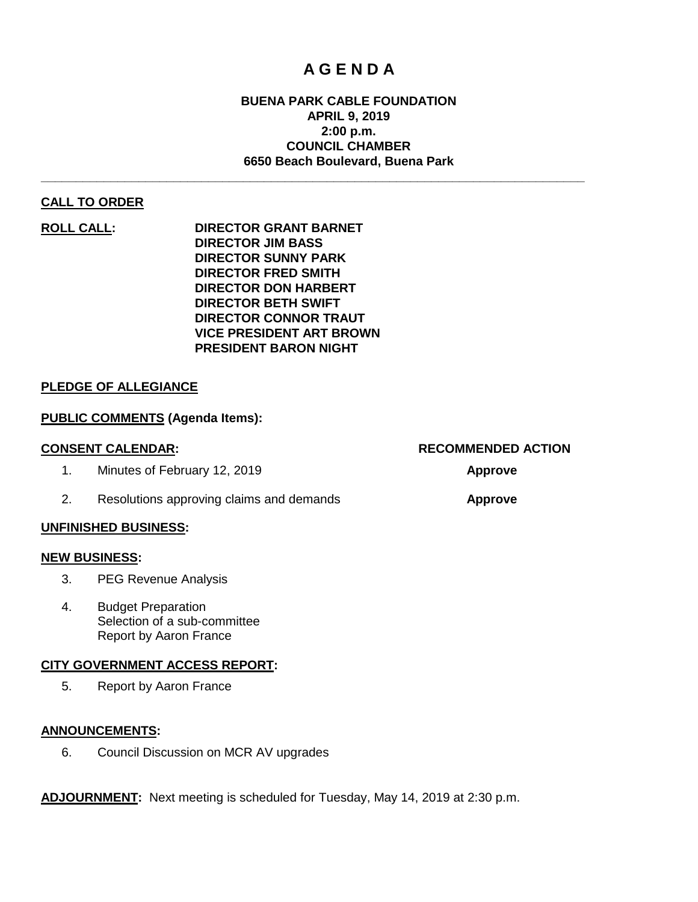## **A G E N D A**

### **BUENA PARK CABLE FOUNDATION APRIL 9, 2019 2:00 p.m. COUNCIL CHAMBER 6650 Beach Boulevard, Buena Park**

**\_\_\_\_\_\_\_\_\_\_\_\_\_\_\_\_\_\_\_\_\_\_\_\_\_\_\_\_\_\_\_\_\_\_\_\_\_\_\_\_\_\_\_\_\_\_\_\_\_\_\_\_\_\_\_\_\_\_\_\_\_\_\_\_\_\_\_\_\_\_\_\_\_\_\_\_\_\_**

#### **CALL TO ORDER**

**ROLL CALL: DIRECTOR GRANT BARNET DIRECTOR JIM BASS DIRECTOR SUNNY PARK DIRECTOR FRED SMITH DIRECTOR DON HARBERT DIRECTOR BETH SWIFT DIRECTOR CONNOR TRAUT VICE PRESIDENT ART BROWN PRESIDENT BARON NIGHT**

#### **PLEDGE OF ALLEGIANCE**

#### **PUBLIC COMMENTS (Agenda Items):**

| <b>CONSENT CALENDAR:</b>                 | <b>RECOMMENDED ACTION</b> |  |  |  |
|------------------------------------------|---------------------------|--|--|--|
| Minutes of February 12, 2019             | <b>Approve</b>            |  |  |  |
| Resolutions approving claims and demands | <b>Approve</b>            |  |  |  |

#### **UNFINISHED BUSINESS:**

#### **NEW BUSINESS:**

- 3. PEG Revenue Analysis
- 4. Budget Preparation Selection of a sub-committee Report by Aaron France

#### **CITY GOVERNMENT ACCESS REPORT:**

5. Report by Aaron France

#### **ANNOUNCEMENTS:**

6. Council Discussion on MCR AV upgrades

**ADJOURNMENT:** Next meeting is scheduled for Tuesday, May 14, 2019 at 2:30 p.m.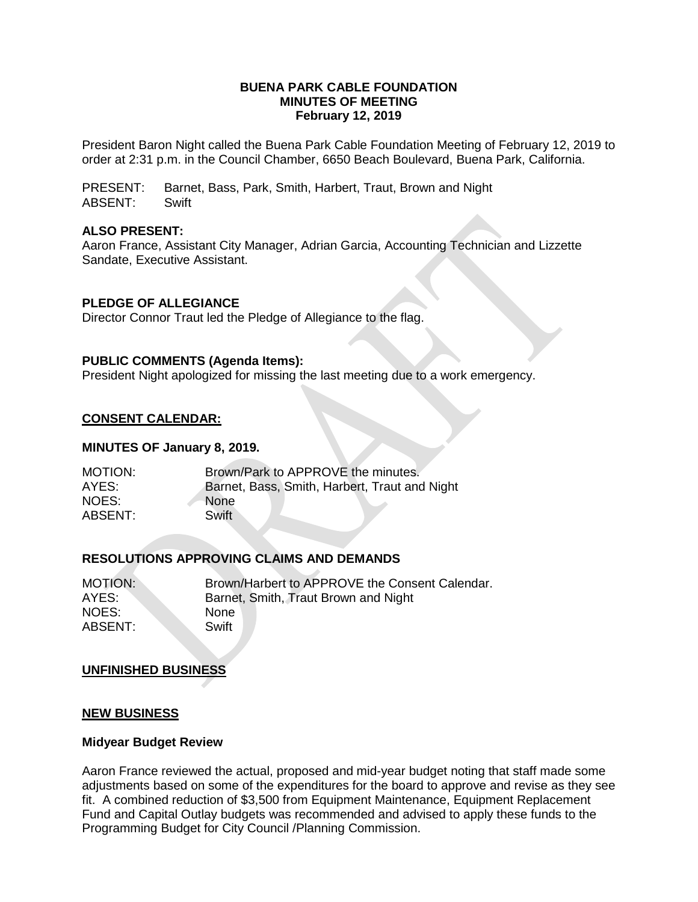#### **BUENA PARK CABLE FOUNDATION MINUTES OF MEETING February 12, 2019**

President Baron Night called the Buena Park Cable Foundation Meeting of February 12, 2019 to order at 2:31 p.m. in the Council Chamber, 6650 Beach Boulevard, Buena Park, California.

PRESENT: Barnet, Bass, Park, Smith, Harbert, Traut, Brown and Night ABSENT: Swift

#### **ALSO PRESENT:**

Aaron France, Assistant City Manager, Adrian Garcia, Accounting Technician and Lizzette Sandate, Executive Assistant.

#### **PLEDGE OF ALLEGIANCE**

Director Connor Traut led the Pledge of Allegiance to the flag.

#### **PUBLIC COMMENTS (Agenda Items):**

President Night apologized for missing the last meeting due to a work emergency.

#### **CONSENT CALENDAR:**

#### **MINUTES OF January 8, 2019.**

| MOTION: | Brown/Park to APPROVE the minutes.            |
|---------|-----------------------------------------------|
| AYES:   | Barnet, Bass, Smith, Harbert, Traut and Night |
| NOES:   | <b>None</b>                                   |
| ABSENT: | Swift                                         |

## **RESOLUTIONS APPROVING CLAIMS AND DEMANDS**

| MOTION:        | Brown/Harbert to APPROVE the Consent Calendar. |
|----------------|------------------------------------------------|
| AYES:          | Barnet, Smith, Traut Brown and Night           |
| NOES:          | <b>None</b>                                    |
| <b>ABSENT:</b> | Swift                                          |

#### **UNFINISHED BUSINESS**

#### **NEW BUSINESS**

#### **Midyear Budget Review**

Aaron France reviewed the actual, proposed and mid-year budget noting that staff made some adjustments based on some of the expenditures for the board to approve and revise as they see fit. A combined reduction of \$3,500 from Equipment Maintenance, Equipment Replacement Fund and Capital Outlay budgets was recommended and advised to apply these funds to the Programming Budget for City Council /Planning Commission.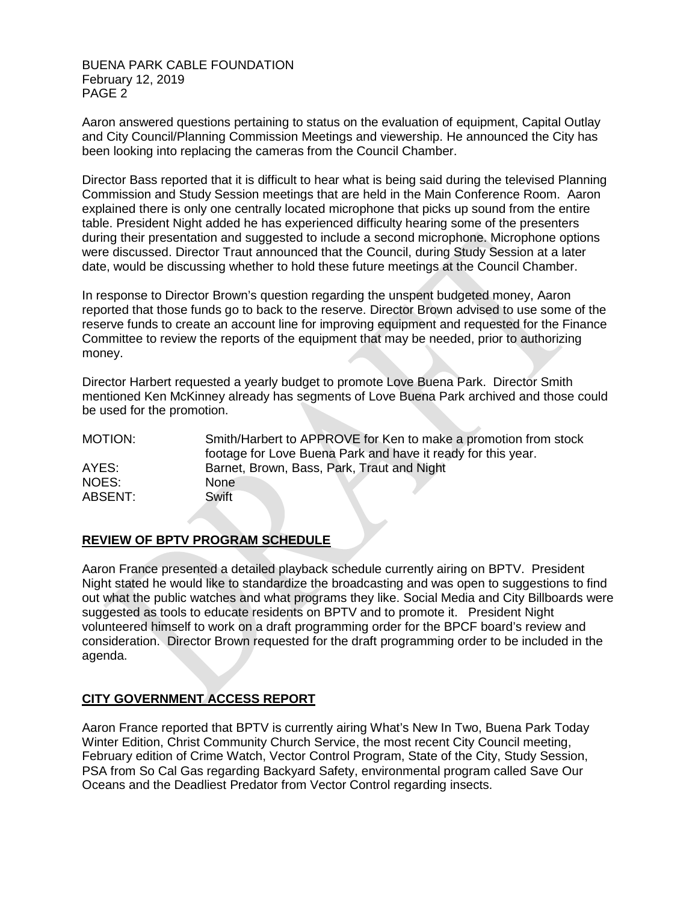BUENA PARK CABLE FOUNDATION February 12, 2019 PAGE 2

Aaron answered questions pertaining to status on the evaluation of equipment, Capital Outlay and City Council/Planning Commission Meetings and viewership. He announced the City has been looking into replacing the cameras from the Council Chamber.

Director Bass reported that it is difficult to hear what is being said during the televised Planning Commission and Study Session meetings that are held in the Main Conference Room. Aaron explained there is only one centrally located microphone that picks up sound from the entire table. President Night added he has experienced difficulty hearing some of the presenters during their presentation and suggested to include a second microphone. Microphone options were discussed. Director Traut announced that the Council, during Study Session at a later date, would be discussing whether to hold these future meetings at the Council Chamber.

In response to Director Brown's question regarding the unspent budgeted money, Aaron reported that those funds go to back to the reserve. Director Brown advised to use some of the reserve funds to create an account line for improving equipment and requested for the Finance Committee to review the reports of the equipment that may be needed, prior to authorizing money.

Director Harbert requested a yearly budget to promote Love Buena Park. Director Smith mentioned Ken McKinney already has segments of Love Buena Park archived and those could be used for the promotion.

| MOTION: | Smith/Harbert to APPROVE for Ken to make a promotion from stock |
|---------|-----------------------------------------------------------------|
|         | footage for Love Buena Park and have it ready for this year.    |
| AYES:   | Barnet, Brown, Bass, Park, Traut and Night                      |
| NOES:   | None.                                                           |
| ABSENT: | Swift                                                           |

## **REVIEW OF BPTV PROGRAM SCHEDULE**

Aaron France presented a detailed playback schedule currently airing on BPTV. President Night stated he would like to standardize the broadcasting and was open to suggestions to find out what the public watches and what programs they like. Social Media and City Billboards were suggested as tools to educate residents on BPTV and to promote it. President Night volunteered himself to work on a draft programming order for the BPCF board's review and consideration. Director Brown requested for the draft programming order to be included in the agenda.

## **CITY GOVERNMENT ACCESS REPORT**

Aaron France reported that BPTV is currently airing What's New In Two, Buena Park Today Winter Edition, Christ Community Church Service, the most recent City Council meeting, February edition of Crime Watch, Vector Control Program, State of the City, Study Session, PSA from So Cal Gas regarding Backyard Safety, environmental program called Save Our Oceans and the Deadliest Predator from Vector Control regarding insects.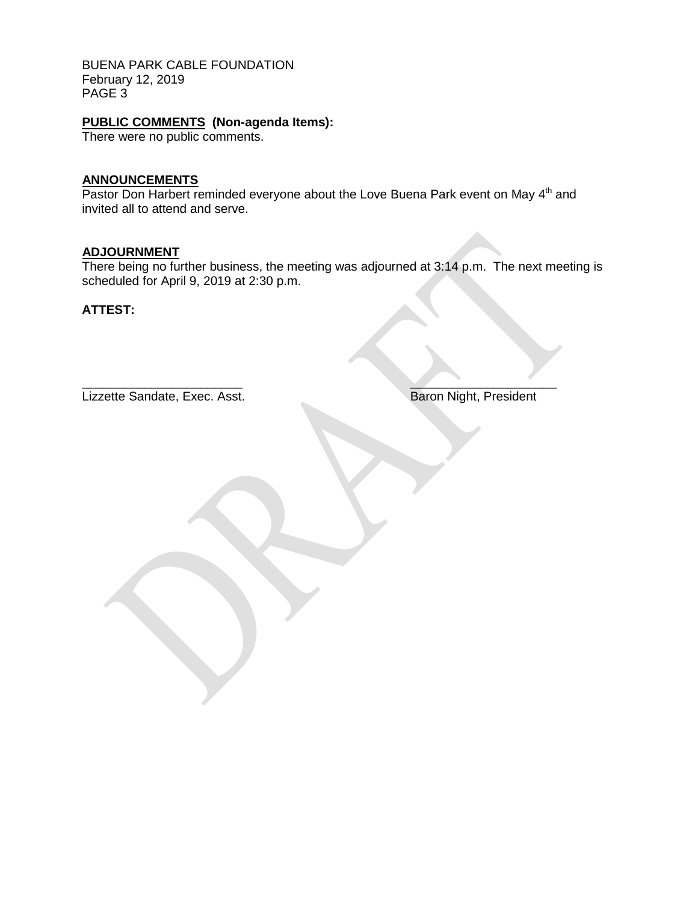BUENA PARK CABLE FOUNDATION February 12, 2019 PAGE 3

# **PUBLIC COMMENTS (Non-agenda Items):**

There were no public comments.

## **ANNOUNCEMENTS**

Pastor Don Harbert reminded everyone about the Love Buena Park event on May 4<sup>th</sup> and invited all to attend and serve.

## **ADJOURNMENT**

There being no further business, the meeting was adjourned at 3:14 p.m. The next meeting is scheduled for April 9, 2019 at 2:30 p.m.

**ATTEST:**

Lizzette Sandate, Exec. Asst. Baron Night, President

 $\overline{\phantom{a}}$  , where  $\overline{\phantom{a}}$  , where  $\overline{\phantom{a}}$  ,  $\overline{\phantom{a}}$  ,  $\overline{\phantom{a}}$  ,  $\overline{\phantom{a}}$  ,  $\overline{\phantom{a}}$  ,  $\overline{\phantom{a}}$  ,  $\overline{\phantom{a}}$  ,  $\overline{\phantom{a}}$  ,  $\overline{\phantom{a}}$  ,  $\overline{\phantom{a}}$  ,  $\overline{\phantom{a}}$  ,  $\overline{\phantom{a}}$  ,  $\overline{\phantom{a}}$  ,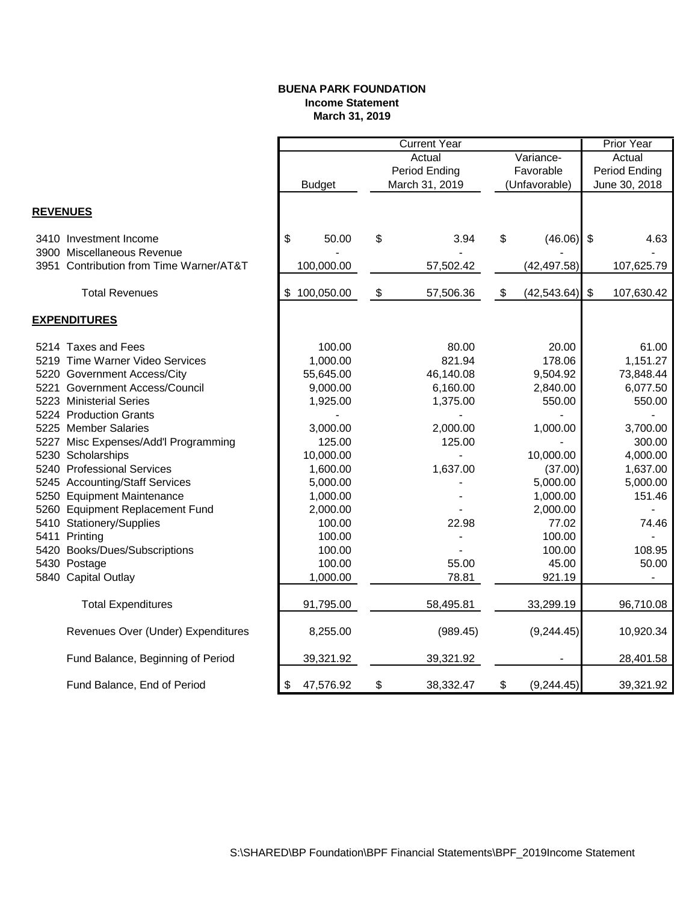#### **BUENA PARK FOUNDATION Income Statement March 31, 2019**

|                 |                                         |                  | <b>Current Year</b>       |                |           |               |                         | <b>Prior Year</b>        |  |
|-----------------|-----------------------------------------|------------------|---------------------------|----------------|-----------|---------------|-------------------------|--------------------------|--|
|                 |                                         |                  | Actual<br>Variance-       |                |           | Actual        |                         |                          |  |
|                 |                                         |                  |                           | Period Ending  | Favorable |               | <b>Period Ending</b>    |                          |  |
|                 |                                         | <b>Budget</b>    |                           | March 31, 2019 |           | (Unfavorable) | June 30, 2018           |                          |  |
|                 |                                         |                  |                           |                |           |               |                         |                          |  |
| <b>REVENUES</b> |                                         |                  |                           |                |           |               |                         |                          |  |
|                 | 3410 Investment Income                  | \$<br>50.00      | \$                        | 3.94           | \$        | (46.06)       | $\sqrt[6]{\frac{1}{2}}$ | 4.63                     |  |
|                 | 3900 Miscellaneous Revenue              |                  |                           |                |           |               |                         |                          |  |
|                 | 3951 Contribution from Time Warner/AT&T | 100,000.00       |                           | 57,502.42      |           | (42, 497.58)  |                         | 107,625.79               |  |
|                 | <b>Total Revenues</b>                   | \$<br>100,050.00 | $\boldsymbol{\mathsf{S}}$ | 57,506.36      | \$        | (42, 543.64)  | $\frac{1}{2}$           | 107,630.42               |  |
|                 | <b>EXPENDITURES</b>                     |                  |                           |                |           |               |                         |                          |  |
|                 | 5214 Taxes and Fees                     | 100.00           |                           | 80.00          |           | 20.00         |                         | 61.00                    |  |
|                 | 5219 Time Warner Video Services         | 1,000.00         |                           | 821.94         |           | 178.06        |                         | 1,151.27                 |  |
|                 | 5220 Government Access/City             | 55,645.00        |                           | 46,140.08      |           | 9,504.92      |                         | 73,848.44                |  |
|                 | 5221 Government Access/Council          | 9,000.00         |                           | 6,160.00       |           | 2,840.00      |                         | 6,077.50                 |  |
|                 | 5223 Ministerial Series                 | 1,925.00         |                           | 1,375.00       |           | 550.00        |                         | 550.00                   |  |
|                 | 5224 Production Grants                  |                  |                           |                |           |               |                         |                          |  |
|                 | 5225 Member Salaries                    | 3,000.00         |                           | 2,000.00       |           | 1,000.00      |                         | 3,700.00                 |  |
|                 | 5227 Misc Expenses/Add'l Programming    | 125.00           |                           | 125.00         |           |               |                         | 300.00                   |  |
|                 | 5230 Scholarships                       | 10,000.00        |                           |                |           | 10,000.00     |                         | 4,000.00                 |  |
|                 | 5240 Professional Services              | 1,600.00         |                           | 1,637.00       |           | (37.00)       |                         | 1,637.00                 |  |
|                 | 5245 Accounting/Staff Services          | 5,000.00         |                           |                |           | 5,000.00      |                         | 5,000.00                 |  |
|                 | 5250 Equipment Maintenance              | 1,000.00         |                           |                | 1,000.00  |               | 151.46                  |                          |  |
|                 | 5260 Equipment Replacement Fund         | 2,000.00         |                           |                |           | 2,000.00      |                         |                          |  |
|                 | 5410 Stationery/Supplies                | 100.00           |                           | 22.98          |           | 77.02         |                         | 74.46                    |  |
|                 | 5411 Printing                           | 100.00           |                           |                |           | 100.00        |                         |                          |  |
|                 | 5420 Books/Dues/Subscriptions           | 100.00           |                           |                |           | 100.00        |                         | 108.95                   |  |
|                 | 5430 Postage                            | 100.00           |                           | 55.00          |           | 45.00         |                         | 50.00                    |  |
|                 | 5840 Capital Outlay                     | 1,000.00         |                           | 78.81          |           | 921.19        |                         | $\overline{\phantom{0}}$ |  |
|                 |                                         |                  |                           |                |           |               |                         |                          |  |
|                 | <b>Total Expenditures</b>               | 91,795.00        |                           | 58,495.81      |           | 33,299.19     |                         | 96,710.08                |  |
|                 | Revenues Over (Under) Expenditures      | 8,255.00         |                           | (989.45)       |           | (9, 244.45)   |                         | 10,920.34                |  |
|                 | Fund Balance, Beginning of Period       | 39,321.92        |                           | 39,321.92      |           |               |                         | 28,401.58                |  |
|                 | Fund Balance, End of Period             | 47,576.92<br>\$  | \$                        | 38,332.47      | \$        | (9, 244.45)   |                         | 39,321.92                |  |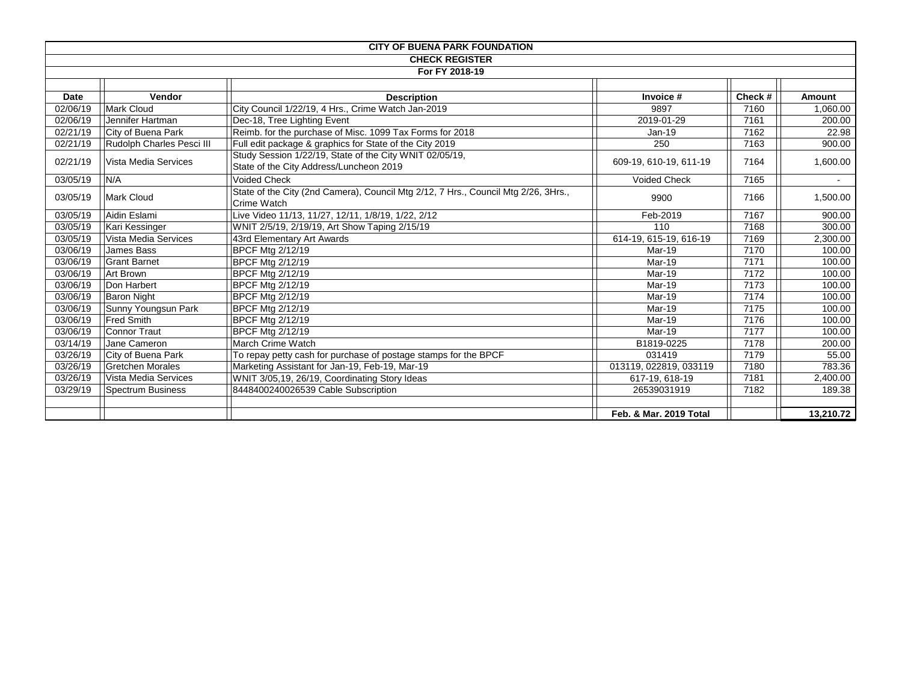| <b>CITY OF BUENA PARK FOUNDATION</b> |                           |                                                                                                                              |                        |        |           |  |  |
|--------------------------------------|---------------------------|------------------------------------------------------------------------------------------------------------------------------|------------------------|--------|-----------|--|--|
| <b>CHECK REGISTER</b>                |                           |                                                                                                                              |                        |        |           |  |  |
|                                      | For FY 2018-19            |                                                                                                                              |                        |        |           |  |  |
|                                      |                           |                                                                                                                              |                        |        |           |  |  |
| <b>Date</b>                          | Vendor                    | <b>Description</b>                                                                                                           | Invoice #              | Check# | Amount    |  |  |
| 02/06/19                             | Mark Cloud                | City Council 1/22/19, 4 Hrs., Crime Watch Jan-2019                                                                           | 9897                   | 7160   | 1,060.00  |  |  |
| 02/06/19                             | Jennifer Hartman          | Dec-18, Tree Lighting Event                                                                                                  | 2019-01-29             | 7161   | 200.00    |  |  |
| 02/21/19                             | City of Buena Park        | Reimb. for the purchase of Misc. 1099 Tax Forms for 2018                                                                     | Jan-19                 | 7162   | 22.98     |  |  |
| 02/21/19                             | Rudolph Charles Pesci III | Full edit package & graphics for State of the City 2019                                                                      | 250                    | 7163   | 900.00    |  |  |
| 02/21/19                             | Vista Media Services      | Study Session 1/22/19, State of the City WNIT 02/05/19,<br>609-19, 610-19, 611-19<br>State of the City Address/Luncheon 2019 |                        | 7164   | 1,600.00  |  |  |
| 03/05/19                             | N/A                       | <b>Voided Check</b>                                                                                                          | <b>Voided Check</b>    | 7165   | $\sim$    |  |  |
| 03/05/19                             | <b>Mark Cloud</b>         | State of the City (2nd Camera), Council Mtg 2/12, 7 Hrs., Council Mtg 2/26, 3Hrs.,<br>9900<br>Crime Watch                    |                        | 7166   | 1,500.00  |  |  |
| 03/05/19                             | Aidin Eslami              | Live Video 11/13, 11/27, 12/11, 1/8/19, 1/22, 2/12                                                                           | Feb-2019               | 7167   | 900.00    |  |  |
| 03/05/19                             | Kari Kessinger            | WNIT 2/5/19, 2/19/19, Art Show Taping 2/15/19<br>110                                                                         |                        | 7168   | 300.00    |  |  |
| 03/05/19                             | Vista Media Services      | 43rd Elementary Art Awards                                                                                                   | 614-19, 615-19, 616-19 | 7169   | 2,300.00  |  |  |
| 03/06/19                             | James Bass                | <b>BPCF Mtg 2/12/19</b>                                                                                                      | Mar-19                 | 7170   | 100.00    |  |  |
| 03/06/19                             | <b>Grant Barnet</b>       | <b>BPCF Mtg 2/12/19</b>                                                                                                      | Mar-19                 | 7171   | 100.00    |  |  |
| 03/06/19                             | <b>Art Brown</b>          | <b>BPCF Mtg 2/12/19</b>                                                                                                      | Mar-19                 | 7172   | 100.00    |  |  |
| 03/06/19                             | Don Harbert               | <b>BPCF Mtg 2/12/19</b><br>Mar-19                                                                                            |                        | 7173   | 100.00    |  |  |
| 03/06/19                             | <b>Baron Night</b>        | BPCF Mtg 2/12/19                                                                                                             | Mar-19                 | 7174   | 100.00    |  |  |
| 03/06/19                             | Sunny Youngsun Park       | <b>BPCF Mtg 2/12/19</b>                                                                                                      | Mar-19                 | 7175   | 100.00    |  |  |
| 03/06/19                             | <b>Fred Smith</b>         | <b>BPCF Mtg 2/12/19</b>                                                                                                      | Mar-19                 | 7176   | 100.00    |  |  |
| 03/06/19                             | Connor Traut              | <b>BPCF Mtg 2/12/19</b>                                                                                                      | Mar-19                 | 7177   | 100.00    |  |  |
| 03/14/19                             | Jane Cameron              | March Crime Watch                                                                                                            | B1819-0225             | 7178   | 200.00    |  |  |
| 03/26/19                             | City of Buena Park        | To repay petty cash for purchase of postage stamps for the BPCF                                                              | 031419                 | 7179   | 55.00     |  |  |
| 03/26/19                             | <b>Gretchen Morales</b>   | Marketing Assistant for Jan-19, Feb-19, Mar-19                                                                               | 013119, 022819, 033119 | 7180   | 783.36    |  |  |
| 03/26/19                             | Vista Media Services      | WNIT 3/05,19, 26/19, Coordinating Story Ideas                                                                                | 617-19, 618-19         | 7181   | 2.400.00  |  |  |
| 03/29/19                             | <b>Spectrum Business</b>  | 8448400240026539 Cable Subscription                                                                                          | 26539031919            | 7182   | 189.38    |  |  |
|                                      |                           |                                                                                                                              |                        |        |           |  |  |
|                                      |                           |                                                                                                                              | Feb. & Mar. 2019 Total |        | 13,210.72 |  |  |